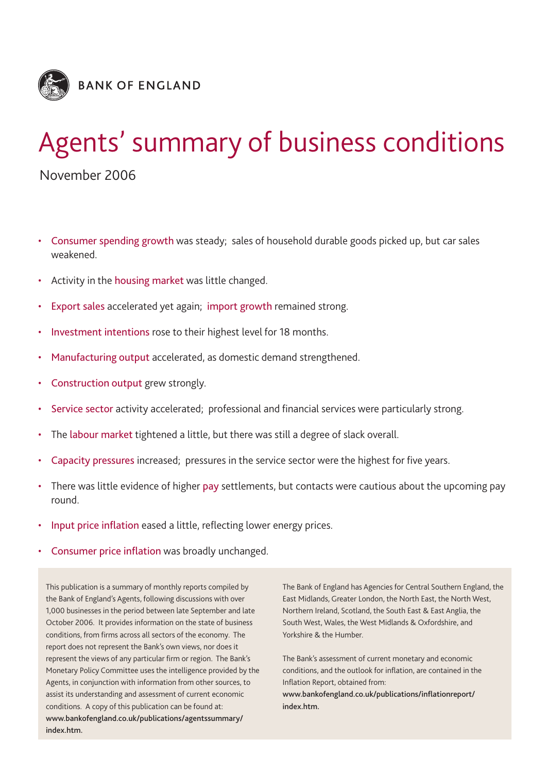

# Agents' summary of business conditions

November 2006

- Consumer spending growth was steady; sales of household durable goods picked up, but car sales weakened.
- Activity in the housing market was little changed.
- Export sales accelerated yet again; import growth remained strong.
- Investment intentions rose to their highest level for 18 months.
- Manufacturing output accelerated, as domestic demand strengthened.
- Construction output grew strongly.
- Service sector activity accelerated; professional and financial services were particularly strong.
- The labour market tightened a little, but there was still a degree of slack overall.
- Capacity pressures increased; pressures in the service sector were the highest for five years.
- There was little evidence of higher pay settlements, but contacts were cautious about the upcoming pay round.
- Input price inflation eased a little, reflecting lower energy prices.
- Consumer price inflation was broadly unchanged.

This publication is a summary of monthly reports compiled by the Bank of England's Agents, following discussions with over 1,000 businesses in the period between late September and late October 2006. It provides information on the state of business conditions, from firms across all sectors of the economy. The report does not represent the Bank's own views, nor does it represent the views of any particular firm or region. The Bank's Monetary Policy Committee uses the intelligence provided by the Agents, in conjunction with information from other sources, to assist its understanding and assessment of current economic conditions. A copy of this publication can be found at: **www.bankofengland.co.uk/publications/agentssummary/ index.htm.**

The Bank of England has Agencies for Central Southern England, the East Midlands, Greater London, the North East, the North West, Northern Ireland, Scotland, the South East & East Anglia, the South West, Wales, the West Midlands & Oxfordshire, and Yorkshire & the Humber.

The Bank's assessment of current monetary and economic conditions, and the outlook for inflation, are contained in the Inflation Report, obtained from:

**www.bankofengland.co.uk/publications/inflationreport/ index.htm.**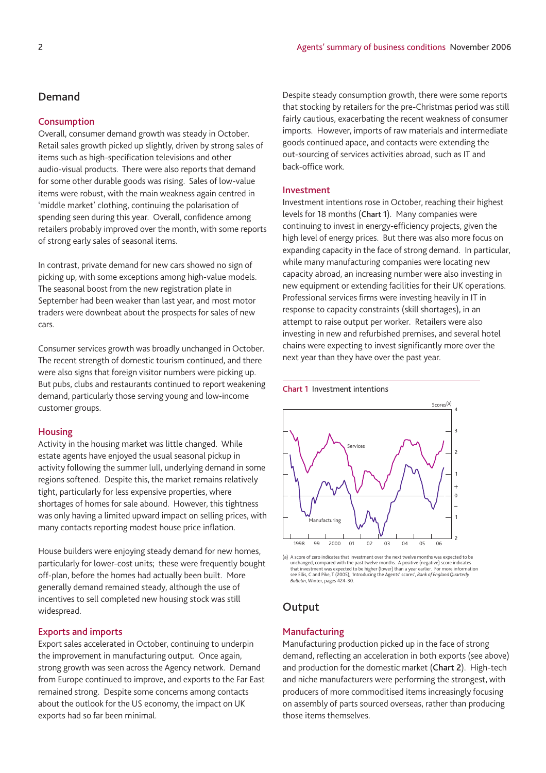#### **Consumption**

Overall, consumer demand growth was steady in October. Retail sales growth picked up slightly, driven by strong sales of items such as high-specification televisions and other audio-visual products. There were also reports that demand for some other durable goods was rising. Sales of low-value items were robust, with the main weakness again centred in 'middle market' clothing, continuing the polarisation of spending seen during this year. Overall, confidence among retailers probably improved over the month, with some reports of strong early sales of seasonal items.

In contrast, private demand for new cars showed no sign of picking up, with some exceptions among high-value models. The seasonal boost from the new registration plate in September had been weaker than last year, and most motor traders were downbeat about the prospects for sales of new cars.

Consumer services growth was broadly unchanged in October. The recent strength of domestic tourism continued, and there were also signs that foreign visitor numbers were picking up. But pubs, clubs and restaurants continued to report weakening demand, particularly those serving young and low-income customer groups.

#### **Housing**

Activity in the housing market was little changed. While estate agents have enjoyed the usual seasonal pickup in activity following the summer lull, underlying demand in some regions softened. Despite this, the market remains relatively tight, particularly for less expensive properties, where shortages of homes for sale abound. However, this tightness was only having a limited upward impact on selling prices, with many contacts reporting modest house price inflation.

House builders were enjoying steady demand for new homes, particularly for lower-cost units; these were frequently bought off-plan, before the homes had actually been built. More generally demand remained steady, although the use of incentives to sell completed new housing stock was still widespread.

#### **Exports and imports**

Export sales accelerated in October, continuing to underpin the improvement in manufacturing output. Once again, strong growth was seen across the Agency network. Demand from Europe continued to improve, and exports to the Far East remained strong. Despite some concerns among contacts about the outlook for the US economy, the impact on UK exports had so far been minimal.

Despite steady consumption growth, there were some reports that stocking by retailers for the pre-Christmas period was still fairly cautious, exacerbating the recent weakness of consumer imports. However, imports of raw materials and intermediate goods continued apace, and contacts were extending the out-sourcing of services activities abroad, such as IT and back-office work.

#### **Investment**

Investment intentions rose in October, reaching their highest levels for 18 months (**Chart 1**). Many companies were continuing to invest in energy-efficiency projects, given the high level of energy prices. But there was also more focus on expanding capacity in the face of strong demand. In particular, while many manufacturing companies were locating new capacity abroad, an increasing number were also investing in new equipment or extending facilities for their UK operations. Professional services firms were investing heavily in IT in response to capacity constraints (skill shortages), in an attempt to raise output per worker. Retailers were also investing in new and refurbished premises, and several hotel chains were expecting to invest significantly more over the next year than they have over the past year.





(a) A score of zero indicates that investment over the next twelve months was expected to be unchanged, compared with the past twelve months. A positive (negative) score indicates that investment was expected to be higher (lower) than a year earlier. For more information<br>see Ellis, C and Pike, T (2005), 'Introducing the Agents' scores', *Bank of England Quarterly*<br>*Bulletin*, Winter, pages 424–30.

## **Output**

#### **Manufacturing**

Manufacturing production picked up in the face of strong demand, reflecting an acceleration in both exports (see above) and production for the domestic market (**Chart 2**). High-tech and niche manufacturers were performing the strongest, with producers of more commoditised items increasingly focusing on assembly of parts sourced overseas, rather than producing those items themselves.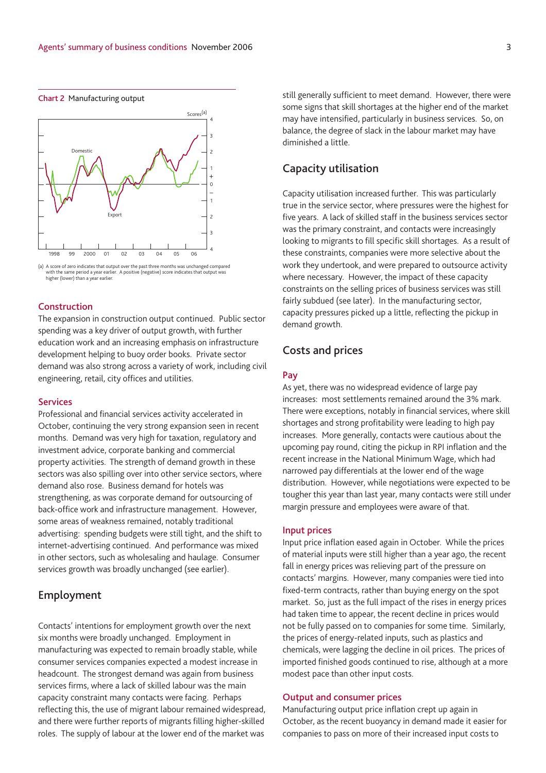#### **Chart 2** Manufacturing output



<sup>(</sup>a) A score of zero indicates that output over the past three months was unchanged compared with the same period a year earlier. A positive (negative) score indicates that output was higher (lower) than a year earlier.

#### **Construction**

The expansion in construction output continued. Public sector spending was a key driver of output growth, with further education work and an increasing emphasis on infrastructure development helping to buoy order books. Private sector demand was also strong across a variety of work, including civil engineering, retail, city offices and utilities.

#### **Services**

Professional and financial services activity accelerated in October, continuing the very strong expansion seen in recent months. Demand was very high for taxation, regulatory and investment advice, corporate banking and commercial property activities. The strength of demand growth in these sectors was also spilling over into other service sectors, where demand also rose. Business demand for hotels was strengthening, as was corporate demand for outsourcing of back-office work and infrastructure management. However, some areas of weakness remained, notably traditional advertising: spending budgets were still tight, and the shift to internet-advertising continued. And performance was mixed in other sectors, such as wholesaling and haulage. Consumer services growth was broadly unchanged (see earlier).

### **Employment**

Contacts' intentions for employment growth over the next six months were broadly unchanged. Employment in manufacturing was expected to remain broadly stable, while consumer services companies expected a modest increase in headcount. The strongest demand was again from business services firms, where a lack of skilled labour was the main capacity constraint many contacts were facing. Perhaps reflecting this, the use of migrant labour remained widespread, and there were further reports of migrants filling higher-skilled roles. The supply of labour at the lower end of the market was

still generally sufficient to meet demand. However, there were some signs that skill shortages at the higher end of the market may have intensified, particularly in business services. So, on balance, the degree of slack in the labour market may have diminished a little.

## **Capacity utilisation**

Capacity utilisation increased further. This was particularly true in the service sector, where pressures were the highest for five years. A lack of skilled staff in the business services sector was the primary constraint, and contacts were increasingly looking to migrants to fill specific skill shortages. As a result of these constraints, companies were more selective about the work they undertook, and were prepared to outsource activity where necessary. However, the impact of these capacity constraints on the selling prices of business services was still fairly subdued (see later). In the manufacturing sector, capacity pressures picked up a little, reflecting the pickup in demand growth.

#### **Costs and prices**

#### **Pay**

As yet, there was no widespread evidence of large pay increases: most settlements remained around the 3% mark. There were exceptions, notably in financial services, where skill shortages and strong profitability were leading to high pay increases. More generally, contacts were cautious about the upcoming pay round, citing the pickup in RPI inflation and the recent increase in the National Minimum Wage, which had narrowed pay differentials at the lower end of the wage distribution. However, while negotiations were expected to be tougher this year than last year, many contacts were still under margin pressure and employees were aware of that.

#### **Input prices**

Input price inflation eased again in October. While the prices of material inputs were still higher than a year ago, the recent fall in energy prices was relieving part of the pressure on contacts' margins. However, many companies were tied into fixed-term contracts, rather than buying energy on the spot market. So, just as the full impact of the rises in energy prices had taken time to appear, the recent decline in prices would not be fully passed on to companies for some time. Similarly, the prices of energy-related inputs, such as plastics and chemicals, were lagging the decline in oil prices. The prices of imported finished goods continued to rise, although at a more modest pace than other input costs.

#### **Output and consumer prices**

Manufacturing output price inflation crept up again in October, as the recent buoyancy in demand made it easier for companies to pass on more of their increased input costs to